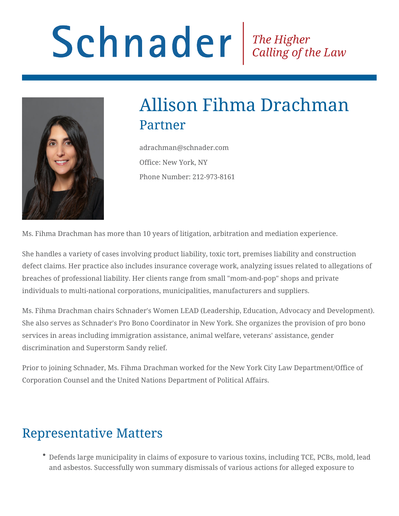# Schnader Fine Higher Calling of the Law



# Allison Fihma Drachman Partner

adrachman@schnader.com Office: New York, NY Phone Number: 212-973-8161

Ms. Fihma Drachman has more than 10 years of litigation, arbitration and mediation experience.

She handles a variety of cases involving product liability, toxic tort, premises liability and construction defect claims. Her practice also includes insurance coverage work, analyzing issues related to allegations of breaches of professional liability. Her clients range from small "mom-and-pop" shops and private individuals to multi-national corporations, municipalities, manufacturers and suppliers.

Ms. Fihma Drachman chairs Schnader's Women LEAD (Leadership, Education, Advocacy and Development). She also serves as Schnader's Pro Bono Coordinator in New York. She organizes the provision of pro bono services in areas including immigration assistance, animal welfare, veterans' assistance, gender discrimination and Superstorm Sandy relief.

Prior to joining Schnader, Ms. Fihma Drachman worked for the New York City Law Department/Office of Corporation Counsel and the United Nations Department of Political Affairs.

## Representative Matters

Defends large municipality in claims of exposure to various toxins, including TCE, PCBs, mold, lead and asbestos. Successfully won summary dismissals of various actions for alleged exposure to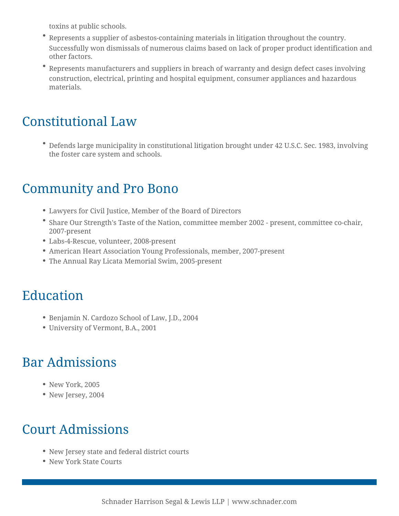toxins at public schools.

- Represents a supplier of asbestos-containing materials in litigation throughout the country. Successfully won dismissals of numerous claims based on lack of proper product identification and other factors.
- Represents manufacturers and suppliers in breach of warranty and design defect cases involving construction, electrical, printing and hospital equipment, consumer appliances and hazardous materials.

#### Constitutional Law

Defends large municipality in constitutional litigation brought under 42 U.S.C. Sec. 1983, involving the foster care system and schools.

#### Community and Pro Bono

- Lawyers for Civil Justice, Member of the Board of Directors
- Share Our Strength's Taste of the Nation, committee member 2002 present, committee co-chair, 2007-present
- Labs-4-Rescue, volunteer, 2008-present
- American Heart Association Young Professionals, member, 2007-present
- The Annual Ray Licata Memorial Swim, 2005-present

#### Education

- Benjamin N. Cardozo School of Law, J.D., 2004
- University of Vermont, B.A., 2001

## Bar Admissions

- New York, 2005
- New Jersey, 2004

# Court Admissions

- New Jersey state and federal district courts
- New York State Courts